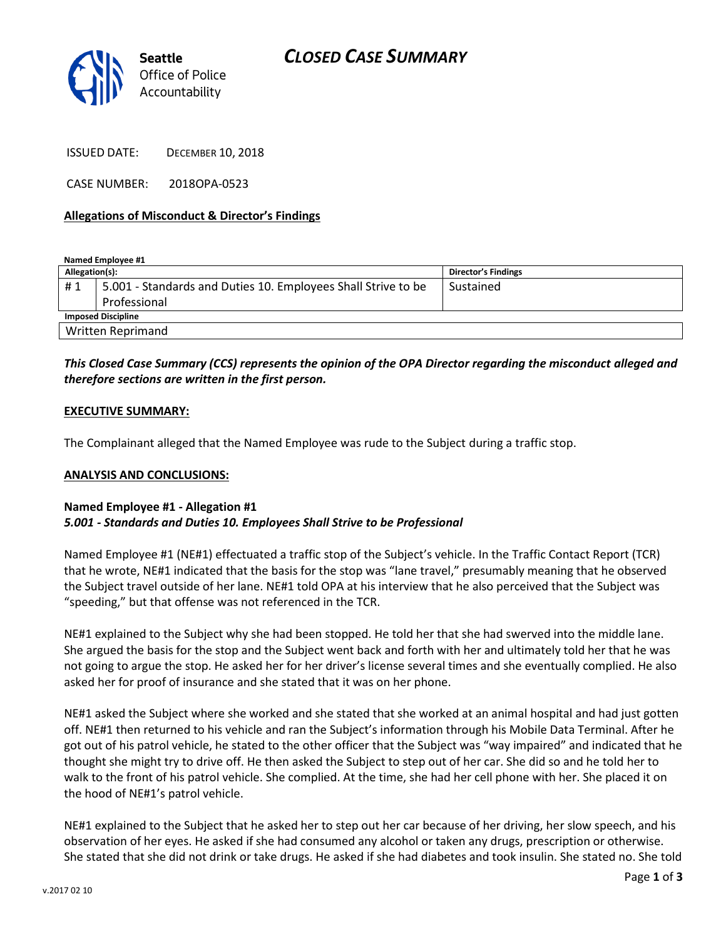

ISSUED DATE: DECEMBER 10, 2018

CASE NUMBER: 2018OPA-0523

#### **Allegations of Misconduct & Director's Findings**

**Named Employee #1**

| Allegation(s):            |                                                               | Director's Findings |
|---------------------------|---------------------------------------------------------------|---------------------|
| #1                        | 5.001 - Standards and Duties 10. Employees Shall Strive to be | Sustained           |
|                           | Professional                                                  |                     |
| <b>Imposed Discipline</b> |                                                               |                     |
| <b>Written Reprimand</b>  |                                                               |                     |

### *This Closed Case Summary (CCS) represents the opinion of the OPA Director regarding the misconduct alleged and therefore sections are written in the first person.*

#### **EXECUTIVE SUMMARY:**

The Complainant alleged that the Named Employee was rude to the Subject during a traffic stop.

#### **ANALYSIS AND CONCLUSIONS:**

#### **Named Employee #1 - Allegation #1** *5.001 - Standards and Duties 10. Employees Shall Strive to be Professional*

Named Employee #1 (NE#1) effectuated a traffic stop of the Subject's vehicle. In the Traffic Contact Report (TCR) that he wrote, NE#1 indicated that the basis for the stop was "lane travel," presumably meaning that he observed the Subject travel outside of her lane. NE#1 told OPA at his interview that he also perceived that the Subject was "speeding," but that offense was not referenced in the TCR.

NE#1 explained to the Subject why she had been stopped. He told her that she had swerved into the middle lane. She argued the basis for the stop and the Subject went back and forth with her and ultimately told her that he was not going to argue the stop. He asked her for her driver's license several times and she eventually complied. He also asked her for proof of insurance and she stated that it was on her phone.

NE#1 asked the Subject where she worked and she stated that she worked at an animal hospital and had just gotten off. NE#1 then returned to his vehicle and ran the Subject's information through his Mobile Data Terminal. After he got out of his patrol vehicle, he stated to the other officer that the Subject was "way impaired" and indicated that he thought she might try to drive off. He then asked the Subject to step out of her car. She did so and he told her to walk to the front of his patrol vehicle. She complied. At the time, she had her cell phone with her. She placed it on the hood of NE#1's patrol vehicle.

NE#1 explained to the Subject that he asked her to step out her car because of her driving, her slow speech, and his observation of her eyes. He asked if she had consumed any alcohol or taken any drugs, prescription or otherwise. She stated that she did not drink or take drugs. He asked if she had diabetes and took insulin. She stated no. She told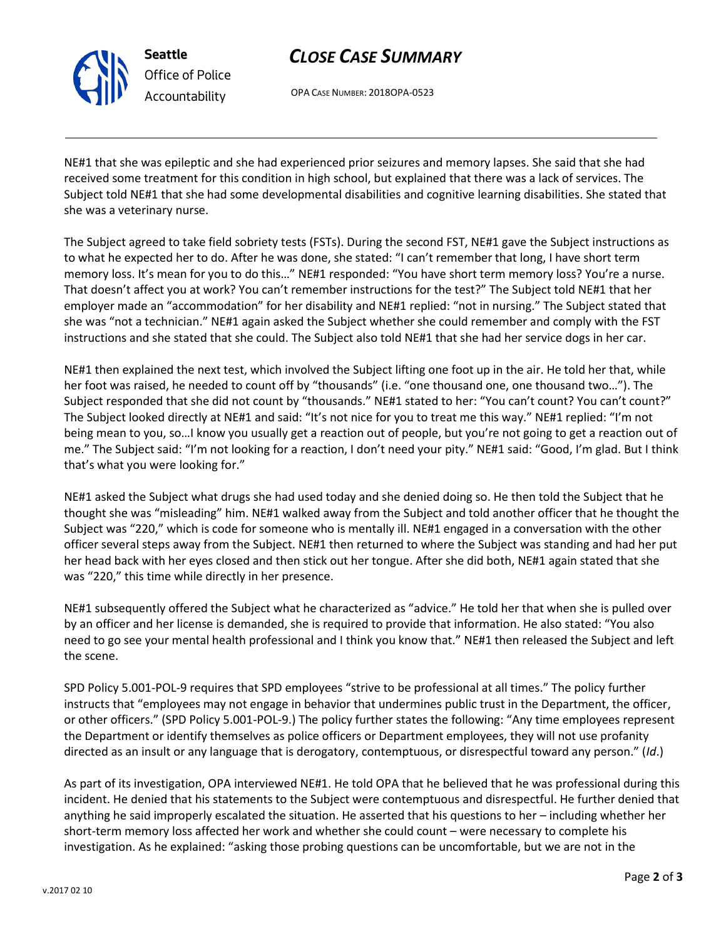

# *Office of Police Accountability*

## *CLOSE CASE SUMMARY*

OPA CASE NUMBER: 2018OPA-0523

NE#1 that she was epileptic and she had experienced prior seizures and memory lapses. She said that she had received some treatment for this condition in high school, but explained that there was a lack of services. The Subject told NE#1 that she had some developmental disabilities and cognitive learning disabilities. She stated that she was a veterinary nurse.

The Subject agreed to take field sobriety tests (FSTs). During the second FST, NE#1 gave the Subject instructions as to what he expected her to do. After he was done, she stated: "I can't remember that long, I have short term memory loss. It's mean for you to do this…" NE#1 responded: "You have short term memory loss? You're a nurse. That doesn't affect you at work? You can't remember instructions for the test?" The Subject told NE#1 that her employer made an "accommodation" for her disability and NE#1 replied: "not in nursing." The Subject stated that she was "not a technician." NE#1 again asked the Subject whether she could remember and comply with the FST instructions and she stated that she could. The Subject also told NE#1 that she had her service dogs in her car.

NE#1 then explained the next test, which involved the Subject lifting one foot up in the air. He told her that, while her foot was raised, he needed to count off by "thousands" (i.e. "one thousand one, one thousand two…"). The Subject responded that she did not count by "thousands." NE#1 stated to her: "You can't count? You can't count?" The Subject looked directly at NE#1 and said: "It's not nice for you to treat me this way." NE#1 replied: "I'm not being mean to you, so…I know you usually get a reaction out of people, but you're not going to get a reaction out of me." The Subject said: "I'm not looking for a reaction, I don't need your pity." NE#1 said: "Good, I'm glad. But I think that's what you were looking for."

NE#1 asked the Subject what drugs she had used today and she denied doing so. He then told the Subject that he thought she was "misleading" him. NE#1 walked away from the Subject and told another officer that he thought the Subject was "220," which is code for someone who is mentally ill. NE#1 engaged in a conversation with the other officer several steps away from the Subject. NE#1 then returned to where the Subject was standing and had her put her head back with her eyes closed and then stick out her tongue. After she did both, NE#1 again stated that she was "220," this time while directly in her presence.

NE#1 subsequently offered the Subject what he characterized as "advice." He told her that when she is pulled over by an officer and her license is demanded, she is required to provide that information. He also stated: "You also need to go see your mental health professional and I think you know that." NE#1 then released the Subject and left the scene.

SPD Policy 5.001-POL-9 requires that SPD employees "strive to be professional at all times." The policy further instructs that "employees may not engage in behavior that undermines public trust in the Department, the officer, or other officers." (SPD Policy 5.001-POL-9.) The policy further states the following: "Any time employees represent the Department or identify themselves as police officers or Department employees, they will not use profanity directed as an insult or any language that is derogatory, contemptuous, or disrespectful toward any person." (*Id*.)

As part of its investigation, OPA interviewed NE#1. He told OPA that he believed that he was professional during this incident. He denied that his statements to the Subject were contemptuous and disrespectful. He further denied that anything he said improperly escalated the situation. He asserted that his questions to her – including whether her short-term memory loss affected her work and whether she could count – were necessary to complete his investigation. As he explained: "asking those probing questions can be uncomfortable, but we are not in the